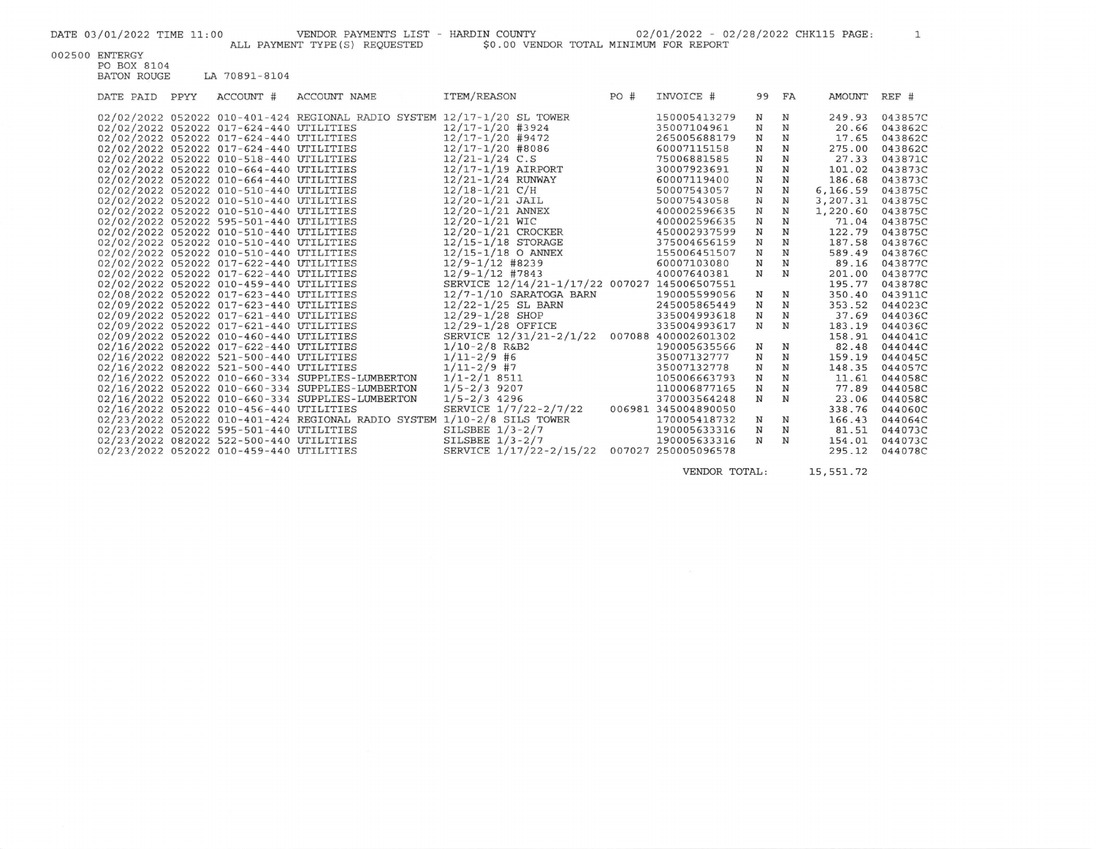$\mathbf{1}$ 

002500 ENTERGY

PO BOX 8104<br>BATON ROUGE LA 70891-8104

| DATE PAID | PPYY | ACCOUNT #                               | ACCOUNT NAME                                                            | ITEM/REASON                                  | PO# | INVOICE #           | 99          | FA | AMOUNT   | REF #   |
|-----------|------|-----------------------------------------|-------------------------------------------------------------------------|----------------------------------------------|-----|---------------------|-------------|----|----------|---------|
|           |      |                                         | 02/02/2022 052022 010-401-424 REGIONAL RADIO SYSTEM 12/17-1/20 SL TOWER |                                              |     | 150005413279        | N           | N  | 249.93   | 043857C |
|           |      | 02/02/2022 052022 017-624-440 UTILITIES |                                                                         | 12/17-1/20 #3924                             |     | 35007104961         | N           | N  | 20.66    | 043862C |
|           |      | 02/02/2022 052022 017-624-440 UTILITIES |                                                                         | 12/17-1/20 #9472                             |     | 265005688179        | $\mathbf N$ | N  | 17.65    | 043862C |
|           |      | 02/02/2022 052022 017-624-440 UTILITIES |                                                                         | 12/17-1/20 #8086                             |     | 60007115158         | N           | N  | 275.00   | 043862C |
|           |      | 02/02/2022 052022 010-518-440 UTILITIES |                                                                         | $12/21 - 1/24$ C.S                           |     | 75006881585         | N           | N  | 27.33    | 043871C |
|           |      | 02/02/2022 052022 010-664-440 UTILITIES |                                                                         | 12/17-1/19 AIRPORT                           |     | 30007923691         | N           | N  | 101.02   | 043873C |
|           |      | 02/02/2022 052022 010-664-440 UTILITIES |                                                                         | 12/21-1/24 RUNWAY                            |     | 60007119400         | N           | N  | 186.68   | 043873C |
|           |      | 02/02/2022 052022 010-510-440 UTILITIES |                                                                         | $12/18-1/21$ C/H                             |     | 50007543057         | N           | N  | 6,166.59 | 043875C |
|           |      | 02/02/2022 052022 010-510-440 UTILITIES |                                                                         | $12/20 - 1/21$ JAIL                          |     | 50007543058         | N           | N  | 3,207.31 | 043875C |
|           |      | 02/02/2022 052022 010-510-440 UTILITIES |                                                                         | $12/20 - 1/21$ ANNEX                         |     | 400002596635        | $\mathbf N$ | N  | 1,220.60 | 043875C |
|           |      | 02/02/2022 052022 595-501-440 UTILITIES |                                                                         | 12/20-1/21 WIC                               |     | 400002596635        | N           | N  | 71.04    | 043875C |
|           |      | 02/02/2022 052022 010-510-440 UTILITIES |                                                                         | 12/20-1/21 CROCKER                           |     | 450002937599        | N           | N  | 122.79   | 043875C |
|           |      | 02/02/2022 052022 010-510-440 UTILITIES |                                                                         | 12/15-1/18 STORAGE                           |     | 375004656159        | $_{\rm N}$  | N  | 187.58   | 043876C |
|           |      | 02/02/2022 052022 010-510-440 UTILITIES |                                                                         | $12/15 - 1/18$ O ANNEX                       |     | 155006451507        | N           | N  | 589.49   | 043876C |
|           |      | 02/02/2022 052022 017-622-440 UTILITIES |                                                                         | $12/9 - 1/12$ #8239                          |     | 60007103080         | N           | N  | 89.16    | 043877C |
|           |      | 02/02/2022 052022 017-622-440 UTILITIES |                                                                         | $12/9 - 1/12$ #7843                          |     | 40007640381         | $\mathbf N$ | N  | 201.00   | 043877C |
|           |      | 02/02/2022 052022 010-459-440 UTILITIES |                                                                         | SERVICE 12/14/21-1/17/22 007027 145006507551 |     |                     |             |    | 195.77   | 043878C |
|           |      | 02/08/2022 052022 017-623-440 UTILITIES |                                                                         | $12/7 - 1/10$ SARATOGA BARN                  |     | 190005599056        | N           | N  | 350.40   | 043911C |
|           |      | 02/09/2022 052022 017-623-440 UTILITIES |                                                                         | $12/22 - 1/25$ SL BARN                       |     | 245005865449        | N           | N  | 353.52   | 044023C |
|           |      | 02/09/2022 052022 017-621-440 UTILITIES |                                                                         | $12/29 - 1/28$ SHOP                          |     | 335004993618        | N           | N  | 37.69    | 044036C |
|           |      | 02/09/2022 052022 017-621-440 UTILITIES |                                                                         | 12/29-1/28 OFFICE                            |     | 335004993617        | N           | N  | 183.19   | 044036C |
|           |      | 02/09/2022 052022 010-460-440 UTILITIES |                                                                         | SERVICE 12/31/21-2/1/22 007088 400002601302  |     |                     |             |    | 158.91   | 044041C |
|           |      | 02/16/2022 052022 017-622-440 UTILITIES |                                                                         | $1/10-2/8$ R&B2                              |     | 190005635566        | $\mathbf N$ | N  | 82.48    | 044044C |
|           |      | 02/16/2022 082022 521-500-440 UTILITIES |                                                                         | $1/11 - 2/9$ #6                              |     | 35007132777         | N           | N  | 159.19   | 044045C |
|           |      | 02/16/2022 082022 521-500-440 UTILITIES |                                                                         | $1/11 - 2/9$ #7                              |     | 35007132778         | N           | N  | 148.35   | 044057C |
|           |      |                                         | 02/16/2022 052022 010-660-334 SUPPLIES-LUMBERTON                        | $1/1 - 2/1$ 8511                             |     | 105006663793        | $\mathbf N$ | N  | 11.61    | 044058C |
|           |      |                                         | 02/16/2022 052022 010-660-334 SUPPLIES-LUMBERTON                        | $1/5 - 2/3$ 9207                             |     | 110006877165        | N           | N  | 77.89    | 044058C |
|           |      |                                         | 02/16/2022 052022 010-660-334 SUPPLIES-LUMBERTON                        | $1/5 - 2/3$ 4296                             |     | 370003564248        | $\mathbf N$ | N  | 23.06    | 044058C |
|           |      | 02/16/2022 052022 010-456-440 UTILITIES |                                                                         | SERVICE 1/7/22-2/7/22                        |     | 006981 345004890050 |             |    | 338.76   | 044060C |
|           |      |                                         | 02/23/2022 052022 010-401-424 REGIONAL RADIO SYSTEM 1/10-2/8 SILS TOWER |                                              |     | 170005418732        | N           | N  | 166.43   | 044064C |
|           |      | 02/23/2022 052022 595-501-440 UTILITIES |                                                                         | SILSBEE $1/3 - 2/7$                          |     | 190005633316        | N           | N  | 81.51    | 044073C |
|           |      | 02/23/2022 082022 522-500-440 UTILITIES |                                                                         | SILSBEE $1/3 - 2/7$                          |     | 190005633316        | N           | N  | 154.01   | 044073C |
|           |      | 02/23/2022 052022 010-459-440 UTILITIES |                                                                         | SERVICE 1/17/22-2/15/22 007027 250005096578  |     |                     |             |    | 295.12   | 044078C |
|           |      |                                         |                                                                         |                                              |     |                     |             |    |          |         |

VENDOR TOTAL: 15,551.72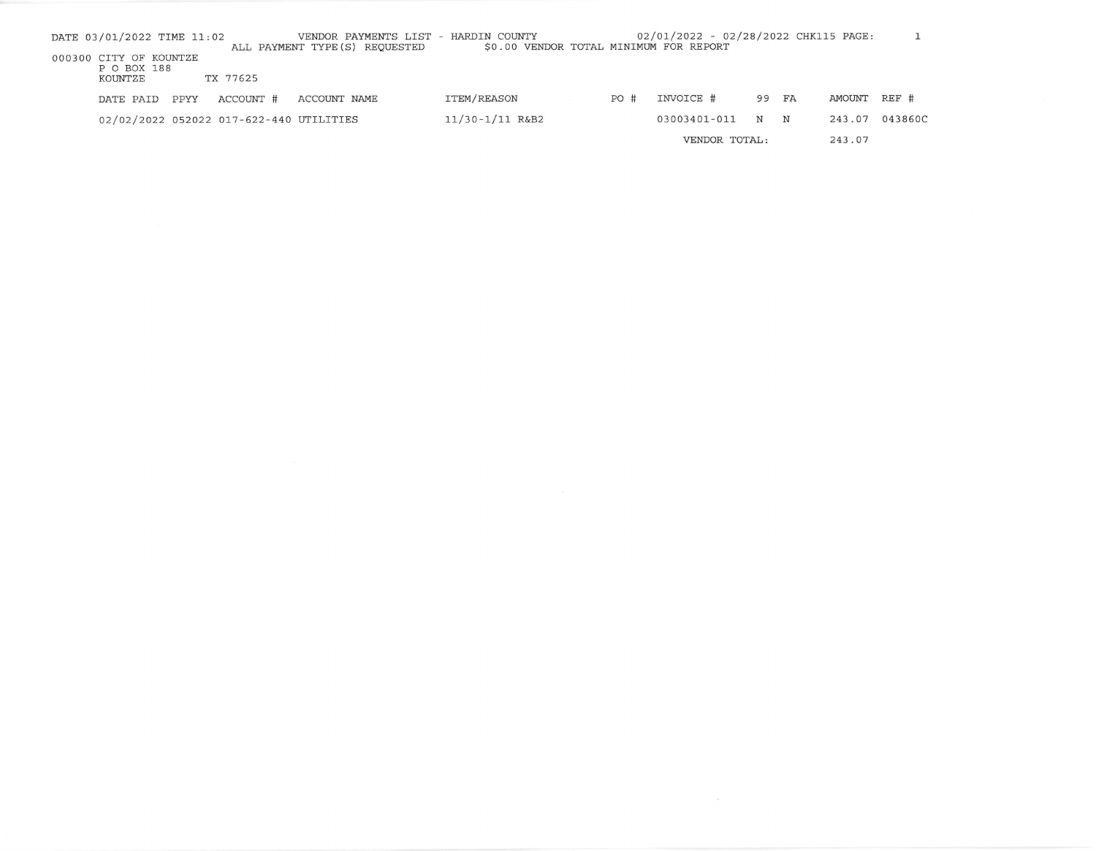| DATE 03/01/2022 TIME 11:02 |      |                                         | VENDOR PAYMENTS LIST - HARDIN COUNTY<br>ALL PAYMENT TYPE (S) REQUESTED | \$0.00 VENDOR TOTAL MINIMUM FOR REPORT |     | 02/01/2022 - 02/28/2022 CHK115 PAGE: |    |    |        |         |
|----------------------------|------|-----------------------------------------|------------------------------------------------------------------------|----------------------------------------|-----|--------------------------------------|----|----|--------|---------|
| 000300 CITY OF KOUNTZE     |      |                                         |                                                                        |                                        |     |                                      |    |    |        |         |
| P O BOX 188                |      | TX 77625                                |                                                                        |                                        |     |                                      |    |    |        |         |
| KOUNTZE                    |      |                                         |                                                                        |                                        |     |                                      |    |    |        |         |
| DATE PAID                  | PPYY | ACCOUNT #                               | ACCOUNT NAME                                                           | ITEM/REASON                            | PO# | INVOICE #                            | 99 | FA | AMOUNT | REF #   |
|                            |      | 02/02/2022 052022 017-622-440 UTILITIES |                                                                        | $11/30 - 1/11$ R&B2                    |     | 03003401-011                         | N  | N  | 243.07 | 043860C |
|                            |      |                                         |                                                                        |                                        |     | VENDOR TOTAL:                        |    |    | 243.07 |         |